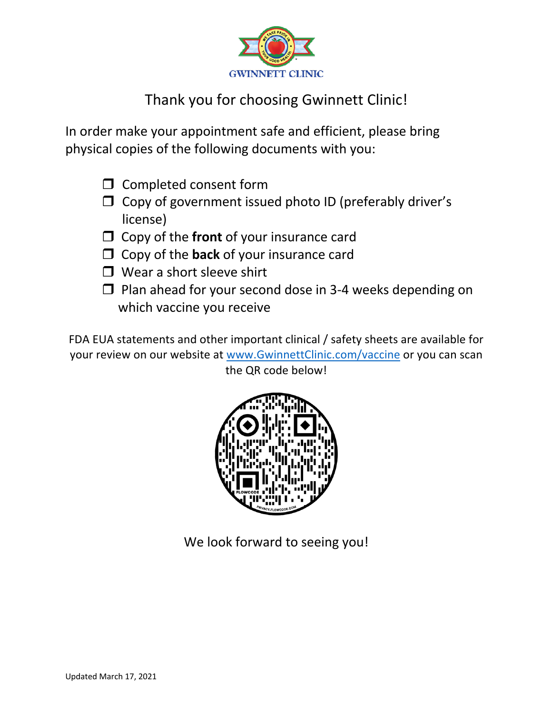

## Thank you for choosing Gwinnett Clinic!

In order make your appointment safe and efficient, please bring physical copies of the following documents with you:

- $\Box$  Completed consent form
- $\Box$  Copy of government issued photo ID (preferably driver's license)
- $\Box$  Copy of the **front** of your insurance card
- $\Box$  Copy of the **back** of your insurance card
- $\Box$  Wear a short sleeve shirt
- $\Box$  Plan ahead for your second dose in 3-4 weeks depending on which vaccine you receive

FDA EUA statements and other important clinical / safety sheets are available for your review on our website at www.GwinnettClinic.com/vaccine or you can scan the QR code below!



We look forward to seeing you!